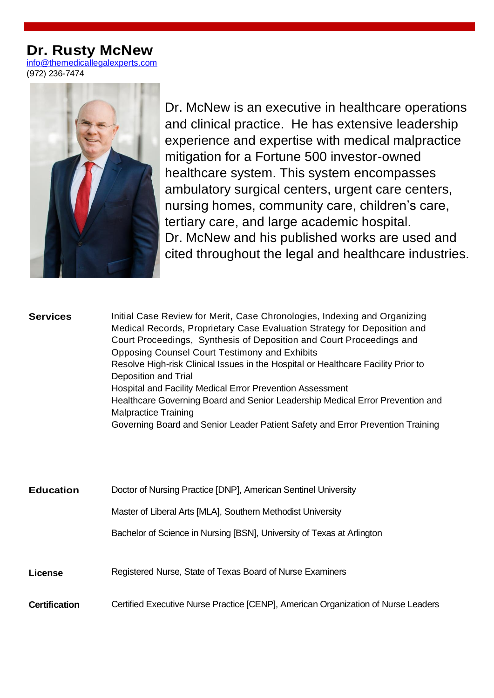# **Dr. Rusty McNew**

[info@themedicallegalexperts.com](mailto:info@themedicallegalexperts.com) (972) [236-7474](tel:972-236-7474)



Dr. McNew is an executive in healthcare operations and clinical practice. He has extensive leadership experience and expertise with medical malpractice mitigation for a Fortune 500 investor-owned healthcare system. This system encompasses ambulatory surgical centers, urgent care centers, nursing homes, community care, children's care, tertiary care, and large academic hospital. Dr. McNew and his published works are used and cited throughout the legal and healthcare industries.

#### **Services** [Initial Case Review for Merit, Case Chronologies, Indexing and Organizing](https://www.winston.com/en/what-we-do/sectors/technology/labor-employment-employee-benefits-and-executive-compensation.html)  [Medical Records, Proprietary Case Evaluation Strategy for Deposition and](https://www.winston.com/en/what-we-do/sectors/technology/labor-employment-employee-benefits-and-executive-compensation.html)  [Court Proceedings,](https://www.winston.com/en/what-we-do/sectors/technology/labor-employment-employee-benefits-and-executive-compensation.html) Synthesis of Deposition and Court Proceedings and Opposing Counsel Court Testimony and Exhibits Resolve High-risk Clinical Issues in the Hospital or Healthcare Facility Prior to Deposition and Trial Hospital and Facility Medical Error Prevention Assessment Healthcare Governing Board and Senior Leadership Medical Error Prevention and Malpractice Training Governing Board and Senior Leader Patient Safety and Error Prevention Training

| <b>Education</b>     | Doctor of Nursing Practice [DNP], American Sentinel University                    |
|----------------------|-----------------------------------------------------------------------------------|
|                      | Master of Liberal Arts [MLA], Southern Methodist University                       |
|                      | Bachelor of Science in Nursing [BSN], University of Texas at Arlington            |
|                      |                                                                                   |
| License              | Registered Nurse, State of Texas Board of Nurse Examiners                         |
| <b>Certification</b> | Certified Executive Nurse Practice [CENP], American Organization of Nurse Leaders |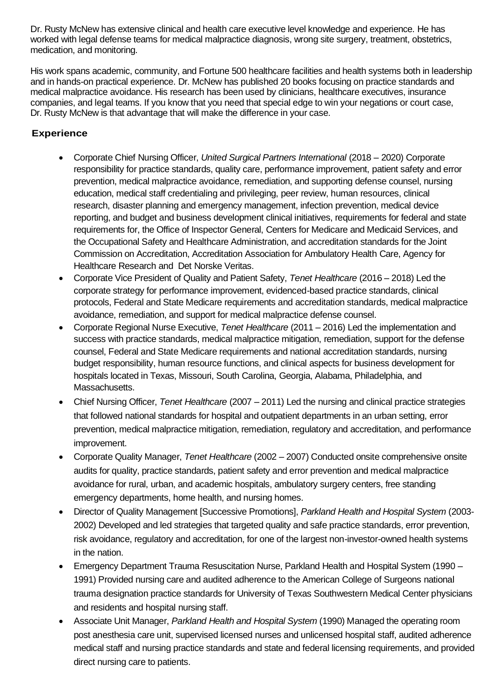Dr. Rusty McNew has extensive clinical and health care executive level knowledge and experience. He has worked with legal defense teams for medical malpractice diagnosis, wrong site surgery, treatment, obstetrics, medication, and monitoring.

His work spans academic, community, and Fortune 500 healthcare facilities and health systems both in leadership and in hands-on practical experience. Dr. McNew has published 20 books focusing on practice standards and medical malpractice avoidance. His research has been used by clinicians, healthcare executives, insurance companies, and legal teams. If you know that you need that special edge to win your negations or court case, Dr. Rusty McNew is that advantage that will make the difference in your case.

## **Experience**

- Corporate Chief Nursing Officer, *United Surgical Partners International* (2018 2020) Corporate responsibility for practice standards, quality care, performance improvement, patient safety and error prevention, medical malpractice avoidance, remediation, and supporting defense counsel, nursing education, medical staff credentialing and privileging, peer review, human resources, clinical research, disaster planning and emergency management, infection prevention, medical device reporting, and budget and business development clinical initiatives, requirements for federal and state requirements for, the Office of Inspector General, Centers for Medicare and Medicaid Services, and the Occupational Safety and Healthcare Administration, and accreditation standards for the Joint Commission on Accreditation, Accreditation Association for Ambulatory Health Care, Agency for Healthcare Research and Det Norske Veritas.
- Corporate Vice President of Quality and Patient Safety, *Tenet Healthcare* (2016 2018) Led the corporate strategy for performance improvement, evidenced-based practice standards, clinical protocols, Federal and State Medicare requirements and accreditation standards, medical malpractice avoidance, remediation, and support for medical malpractice defense counsel.
- Corporate Regional Nurse Executive, *Tenet Healthcare* (2011 2016) Led the implementation and success with practice standards, medical malpractice mitigation, remediation, support for the defense counsel, Federal and State Medicare requirements and national accreditation standards, nursing budget responsibility, human resource functions, and clinical aspects for business development for hospitals located in Texas, Missouri, South Carolina, Georgia, Alabama, Philadelphia, and Massachusetts.
- Chief Nursing Officer, *Tenet Healthcare* (2007 2011) Led the nursing and clinical practice strategies that followed national standards for hospital and outpatient departments in an urban setting, error prevention, medical malpractice mitigation, remediation, regulatory and accreditation, and performance improvement.
- Corporate Quality Manager, *Tenet Healthcare* (2002 2007) Conducted onsite comprehensive onsite audits for quality, practice standards, patient safety and error prevention and medical malpractice avoidance for rural, urban, and academic hospitals, ambulatory surgery centers, free standing emergency departments, home health, and nursing homes.
- Director of Quality Management [Successive Promotions], *Parkland Health and Hospital System* (2003- 2002) Developed and led strategies that targeted quality and safe practice standards, error prevention, risk avoidance, regulatory and accreditation, for one of the largest non-investor-owned health systems in the nation.
- Emergency Department Trauma Resuscitation Nurse, Parkland Health and Hospital System (1990 1991) Provided nursing care and audited adherence to the American College of Surgeons national trauma designation practice standards for University of Texas Southwestern Medical Center physicians and residents and hospital nursing staff.
- Associate Unit Manager, *Parkland Health and Hospital System* (1990) Managed the operating room post anesthesia care unit, supervised licensed nurses and unlicensed hospital staff, audited adherence medical staff and nursing practice standards and state and federal licensing requirements, and provided direct nursing care to patients.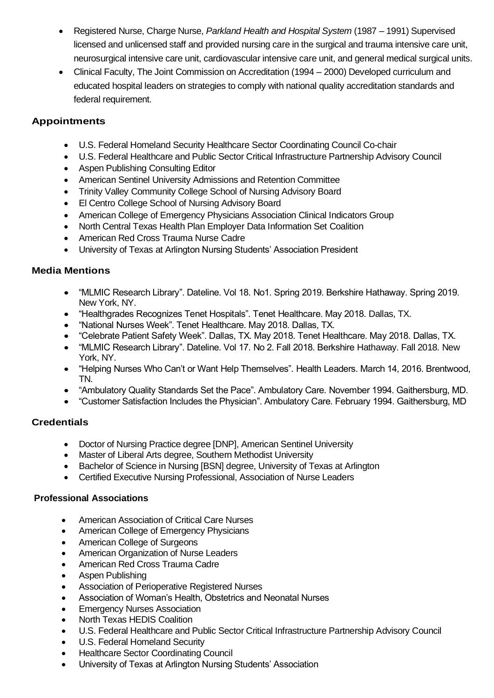- Registered Nurse, Charge Nurse, *Parkland Health and Hospital System* (1987 1991) Supervised licensed and unlicensed staff and provided nursing care in the surgical and trauma intensive care unit, neurosurgical intensive care unit, cardiovascular intensive care unit, and general medical surgical units.
- Clinical Faculty, The Joint Commission on Accreditation (1994 2000) Developed curriculum and educated hospital leaders on strategies to comply with national quality accreditation standards and federal requirement.

## **Appointments**

- U.S. Federal Homeland Security Healthcare Sector Coordinating Council Co-chair
- U.S. Federal Healthcare and Public Sector Critical Infrastructure Partnership Advisory Council
- Aspen Publishing Consulting Editor
- American Sentinel University Admissions and Retention Committee
- Trinity Valley Community College School of Nursing Advisory Board
- El Centro College School of Nursing Advisory Board
- American College of Emergency Physicians Association Clinical Indicators Group
- North Central Texas Health Plan Employer Data Information Set Coalition
- American Red Cross Trauma Nurse Cadre
- University of Texas at Arlington Nursing Students' Association President

## **Media Mentions**

- "MLMIC Research Library". Dateline. Vol 18. No1. Spring 2019. Berkshire Hathaway. Spring 2019. New York, NY.
- "Healthgrades Recognizes Tenet Hospitals". Tenet Healthcare. May 2018. Dallas, TX.
- "National Nurses Week". Tenet Healthcare. May 2018. Dallas, TX.
- "Celebrate Patient Safety Week". Dallas, TX. May 2018. Tenet Healthcare. May 2018. Dallas, TX.
- "MLMIC Research Library". Dateline. Vol 17. No 2. Fall 2018. Berkshire Hathaway. Fall 2018. New York, NY.
- "Helping Nurses Who Can't or Want Help Themselves". Health Leaders. March 14, 2016. Brentwood, TN.
- "Ambulatory Quality Standards Set the Pace". Ambulatory Care. November 1994. Gaithersburg, MD.
- "Customer Satisfaction Includes the Physician". Ambulatory Care. February 1994. Gaithersburg, MD

## **Credentials**

- Doctor of Nursing Practice degree [DNP], American Sentinel University
- Master of Liberal Arts degree, Southern Methodist University
- Bachelor of Science in Nursing [BSN] degree, University of Texas at Arlington
- Certified Executive Nursing Professional, Association of Nurse Leaders

## **Professional Associations**

- American Association of Critical Care Nurses
- American College of Emergency Physicians
- American College of Surgeons
- American Organization of Nurse Leaders
- American Red Cross Trauma Cadre
- Aspen Publishing
- Association of Perioperative Registered Nurses
- Association of Woman's Health, Obstetrics and Neonatal Nurses
- **Emergency Nurses Association**
- North Texas HEDIS Coalition
- U.S. Federal Healthcare and Public Sector Critical Infrastructure Partnership Advisory Council
- U.S. Federal Homeland Security
- Healthcare Sector Coordinating Council
- University of Texas at Arlington Nursing Students' Association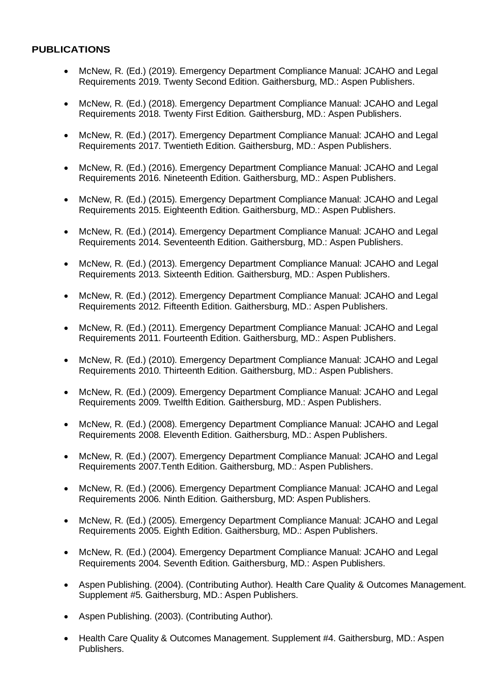#### **PUBLICATIONS**

- McNew, R. (Ed.) (2019). Emergency Department Compliance Manual: JCAHO and Legal Requirements 2019. Twenty Second Edition. Gaithersburg, MD.: Aspen Publishers.
- McNew, R. (Ed.) (2018). Emergency Department Compliance Manual: JCAHO and Legal Requirements 2018. Twenty First Edition. Gaithersburg, MD.: Aspen Publishers.
- McNew, R. (Ed.) (2017). Emergency Department Compliance Manual: JCAHO and Legal Requirements 2017. Twentieth Edition. Gaithersburg, MD.: Aspen Publishers.
- McNew, R. (Ed.) (2016). Emergency Department Compliance Manual: JCAHO and Legal Requirements 2016. Nineteenth Edition. Gaithersburg, MD.: Aspen Publishers.
- McNew, R. (Ed.) (2015). Emergency Department Compliance Manual: JCAHO and Legal Requirements 2015. Eighteenth Edition. Gaithersburg, MD.: Aspen Publishers.
- McNew, R. (Ed.) (2014). Emergency Department Compliance Manual: JCAHO and Legal Requirements 2014. Seventeenth Edition. Gaithersburg, MD.: Aspen Publishers.
- McNew, R. (Ed.) (2013). Emergency Department Compliance Manual: JCAHO and Legal Requirements 2013. Sixteenth Edition. Gaithersburg, MD.: Aspen Publishers.
- McNew, R. (Ed.) (2012). Emergency Department Compliance Manual: JCAHO and Legal Requirements 2012. Fifteenth Edition. Gaithersburg, MD.: Aspen Publishers.
- McNew, R. (Ed.) (2011). Emergency Department Compliance Manual: JCAHO and Legal Requirements 2011. Fourteenth Edition. Gaithersburg, MD.: Aspen Publishers.
- McNew, R. (Ed.) (2010). Emergency Department Compliance Manual: JCAHO and Legal Requirements 2010. Thirteenth Edition. Gaithersburg, MD.: Aspen Publishers.
- McNew, R. (Ed.) (2009). Emergency Department Compliance Manual: JCAHO and Legal Requirements 2009. Twelfth Edition. Gaithersburg, MD.: Aspen Publishers.
- McNew, R. (Ed.) (2008). Emergency Department Compliance Manual: JCAHO and Legal Requirements 2008. Eleventh Edition. Gaithersburg, MD.: Aspen Publishers.
- McNew, R. (Ed.) (2007). Emergency Department Compliance Manual: JCAHO and Legal Requirements 2007.Tenth Edition. Gaithersburg, MD.: Aspen Publishers.
- McNew, R. (Ed.) (2006). Emergency Department Compliance Manual: JCAHO and Legal Requirements 2006. Ninth Edition. Gaithersburg, MD: Aspen Publishers.
- McNew, R. (Ed.) (2005). Emergency Department Compliance Manual: JCAHO and Legal Requirements 2005. Eighth Edition. Gaithersburg, MD.: Aspen Publishers.
- McNew, R. (Ed.) (2004). Emergency Department Compliance Manual: JCAHO and Legal Requirements 2004. Seventh Edition. Gaithersburg, MD.: Aspen Publishers.
- Aspen Publishing. (2004). (Contributing Author). Health Care Quality & Outcomes Management. Supplement #5. Gaithersburg, MD.: Aspen Publishers.
- Aspen Publishing. (2003). (Contributing Author).
- Health Care Quality & Outcomes Management. Supplement #4. Gaithersburg, MD.: Aspen Publishers.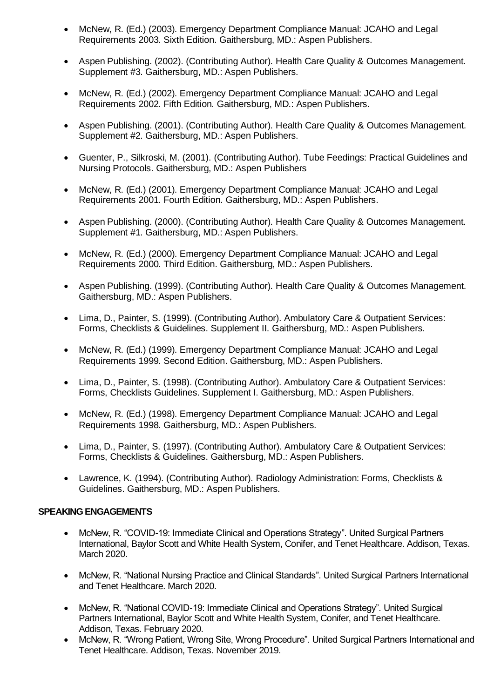- McNew, R. (Ed.) (2003). Emergency Department Compliance Manual: JCAHO and Legal Requirements 2003. Sixth Edition. Gaithersburg, MD.: Aspen Publishers.
- Aspen Publishing. (2002). (Contributing Author). Health Care Quality & Outcomes Management. Supplement #3. Gaithersburg, MD.: Aspen Publishers.
- McNew, R. (Ed.) (2002). Emergency Department Compliance Manual: JCAHO and Legal Requirements 2002. Fifth Edition. Gaithersburg, MD.: Aspen Publishers.
- Aspen Publishing. (2001). (Contributing Author). Health Care Quality & Outcomes Management. Supplement #2. Gaithersburg, MD.: Aspen Publishers.
- Guenter, P., Silkroski, M. (2001). (Contributing Author). Tube Feedings: Practical Guidelines and Nursing Protocols. Gaithersburg, MD.: Aspen Publishers
- McNew, R. (Ed.) (2001). Emergency Department Compliance Manual: JCAHO and Legal Requirements 2001. Fourth Edition. Gaithersburg, MD.: Aspen Publishers.
- Aspen Publishing. (2000). (Contributing Author). Health Care Quality & Outcomes Management. Supplement #1. Gaithersburg, MD.: Aspen Publishers.
- McNew, R. (Ed.) (2000). Emergency Department Compliance Manual: JCAHO and Legal Requirements 2000. Third Edition. Gaithersburg, MD.: Aspen Publishers.
- Aspen Publishing. (1999). (Contributing Author). Health Care Quality & Outcomes Management. Gaithersburg, MD.: Aspen Publishers.
- Lima, D., Painter, S. (1999). (Contributing Author). Ambulatory Care & Outpatient Services: Forms, Checklists & Guidelines. Supplement II. Gaithersburg, MD.: Aspen Publishers.
- McNew, R. (Ed.) (1999). Emergency Department Compliance Manual: JCAHO and Legal Requirements 1999. Second Edition. Gaithersburg, MD.: Aspen Publishers.
- Lima, D., Painter, S. (1998). (Contributing Author). Ambulatory Care & Outpatient Services: Forms, Checklists Guidelines. Supplement I. Gaithersburg, MD.: Aspen Publishers.
- McNew, R. (Ed.) (1998). Emergency Department Compliance Manual: JCAHO and Legal Requirements 1998. Gaithersburg, MD.: Aspen Publishers.
- Lima, D., Painter, S. (1997). (Contributing Author). Ambulatory Care & Outpatient Services: Forms, Checklists & Guidelines. Gaithersburg, MD.: Aspen Publishers.
- Lawrence, K. (1994). (Contributing Author). Radiology Administration: Forms, Checklists & Guidelines. Gaithersburg, MD.: Aspen Publishers.

#### **SPEAKING ENGAGEMENTS**

- McNew, R. "COVID-19: Immediate Clinical and Operations Strategy". United Surgical Partners International, Baylor Scott and White Health System, Conifer, and Tenet Healthcare. Addison, Texas. March 2020.
- McNew, R. "National Nursing Practice and Clinical Standards". United Surgical Partners International and Tenet Healthcare. March 2020.
- McNew, R. "National COVID-19: Immediate Clinical and Operations Strategy". United Surgical Partners International, Baylor Scott and White Health System, Conifer, and Tenet Healthcare. Addison, Texas. February 2020.
- McNew, R. "Wrong Patient, Wrong Site, Wrong Procedure". United Surgical Partners International and Tenet Healthcare. Addison, Texas. November 2019.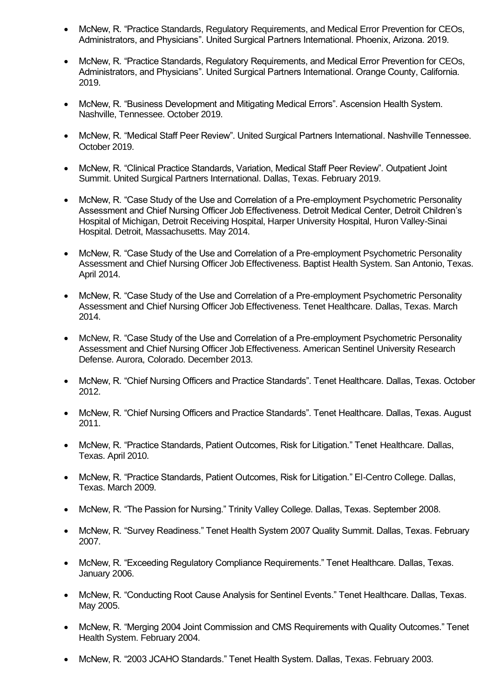- McNew, R. "Practice Standards, Regulatory Requirements, and Medical Error Prevention for CEOs, Administrators, and Physicians". United Surgical Partners International. Phoenix, Arizona. 2019.
- McNew, R. "Practice Standards, Regulatory Requirements, and Medical Error Prevention for CEOs, Administrators, and Physicians". United Surgical Partners International. Orange County, California. 2019.
- McNew, R. "Business Development and Mitigating Medical Errors". Ascension Health System. Nashville, Tennessee. October 2019.
- McNew, R. "Medical Staff Peer Review". United Surgical Partners International. Nashville Tennessee. October 2019.
- McNew, R. "Clinical Practice Standards, Variation, Medical Staff Peer Review". Outpatient Joint Summit. United Surgical Partners International. Dallas, Texas. February 2019.
- McNew, R. "Case Study of the Use and Correlation of a Pre-employment Psychometric Personality Assessment and Chief Nursing Officer Job Effectiveness. Detroit Medical Center, Detroit Children's Hospital of Michigan, Detroit Receiving Hospital, Harper University Hospital, Huron Valley-Sinai Hospital. Detroit, Massachusetts. May 2014.
- McNew, R. "Case Study of the Use and Correlation of a Pre-employment Psychometric Personality Assessment and Chief Nursing Officer Job Effectiveness. Baptist Health System. San Antonio, Texas. April 2014.
- McNew, R. "Case Study of the Use and Correlation of a Pre-employment Psychometric Personality Assessment and Chief Nursing Officer Job Effectiveness. Tenet Healthcare. Dallas, Texas. March 2014.
- McNew, R. "Case Study of the Use and Correlation of a Pre-employment Psychometric Personality Assessment and Chief Nursing Officer Job Effectiveness. American Sentinel University Research Defense. Aurora, Colorado. December 2013.
- McNew, R. "Chief Nursing Officers and Practice Standards". Tenet Healthcare. Dallas, Texas. October 2012.
- McNew, R. "Chief Nursing Officers and Practice Standards". Tenet Healthcare. Dallas, Texas. August 2011.
- McNew, R. "Practice Standards, Patient Outcomes, Risk for Litigation." Tenet Healthcare. Dallas, Texas. April 2010.
- McNew, R. "Practice Standards, Patient Outcomes, Risk for Litigation." El-Centro College. Dallas, Texas. March 2009.
- McNew, R. "The Passion for Nursing." Trinity Valley College. Dallas, Texas. September 2008.
- McNew, R. "Survey Readiness." Tenet Health System 2007 Quality Summit. Dallas, Texas. February 2007.
- McNew, R. "Exceeding Regulatory Compliance Requirements." Tenet Healthcare. Dallas, Texas. January 2006.
- McNew, R. "Conducting Root Cause Analysis for Sentinel Events." Tenet Healthcare. Dallas, Texas. May 2005.
- McNew, R. "Merging 2004 Joint Commission and CMS Requirements with Quality Outcomes." Tenet Health System. February 2004.
- McNew, R. "2003 JCAHO Standards." Tenet Health System. Dallas, Texas. February 2003.